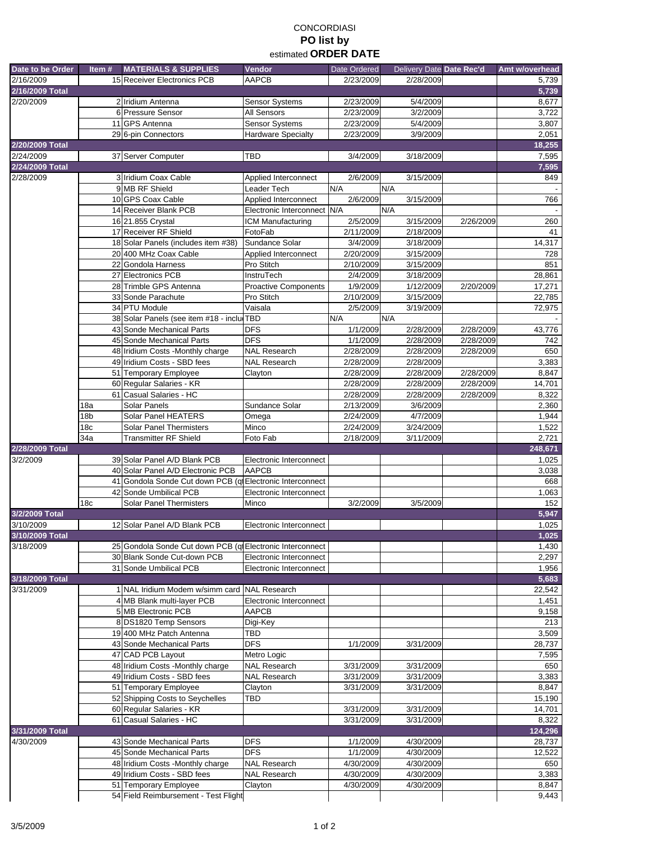## CONCORDIASI **PO list by**  estimated **ORDER DATE**

| Date to be Order | Item#           | <b>MATERIALS &amp; SUPPLIES</b>                                                     | Vendor                                     | Date Ordered           | Delivery Date Date Rec'd |           | Amt w/overhead |
|------------------|-----------------|-------------------------------------------------------------------------------------|--------------------------------------------|------------------------|--------------------------|-----------|----------------|
| 2/16/2009        |                 | 15 Receiver Electronics PCB                                                         | <b>AAPCB</b>                               | 2/23/2009              | 2/28/2009                |           | 5,739          |
| 2/16/2009 Total  |                 |                                                                                     |                                            |                        |                          |           | 5,739          |
| 2/20/2009        |                 | 2 Iridium Antenna                                                                   | <b>Sensor Systems</b>                      | 2/23/2009              | 5/4/2009                 |           | 8,677          |
|                  |                 | 6 Pressure Sensor                                                                   | All Sensors                                | 2/23/2009              | 3/2/2009                 |           | 3,722          |
|                  |                 | 11 GPS Antenna                                                                      | Sensor Systems                             | 2/23/2009              | 5/4/2009                 |           | 3,807          |
|                  |                 | 29 6-pin Connectors                                                                 | <b>Hardware Specialty</b>                  | 2/23/2009              | 3/9/2009                 |           | 2,051          |
| 2/20/2009 Total  |                 |                                                                                     |                                            |                        |                          |           | 18,255         |
| 2/24/2009        |                 | 37 Server Computer                                                                  | <b>TBD</b>                                 | 3/4/2009               | 3/18/2009                |           | 7,595          |
| 2/24/2009 Total  |                 |                                                                                     |                                            |                        |                          |           | 7,595          |
| 2/28/2009        |                 | 3 Iridium Coax Cable<br>9 MB RF Shield                                              | Applied Interconnect<br>Leader Tech        | 2/6/2009<br>N/A        | 3/15/2009<br>N/A         |           | 849            |
|                  |                 | 10 GPS Coax Cable                                                                   | Applied Interconnect                       | 2/6/2009               | 3/15/2009                |           | 766            |
|                  |                 | 14 Receiver Blank PCB                                                               | Electronic Interconnect N/A                |                        | N/A                      |           |                |
|                  |                 | 16 21.855 Crystal                                                                   | ICM Manufacturing                          | 2/5/2009               | 3/15/2009                | 2/26/2009 | 260            |
|                  |                 | 17 Receiver RF Shield                                                               | FotoFab                                    | 2/11/2009              | 2/18/2009                |           | 41             |
|                  |                 | 18 Solar Panels (includes item #38)                                                 | Sundance Solar                             | 3/4/2009               | 3/18/2009                |           | 14,317         |
|                  |                 | 20 400 MHz Coax Cable                                                               | Applied Interconnect                       | 2/20/2009              | 3/15/2009                |           | 728            |
|                  |                 | 22 Gondola Harness                                                                  | Pro Stitch                                 | 2/10/2009              | 3/15/2009                |           | 851            |
|                  |                 | 27 Electronics PCB                                                                  | InstruTech                                 | 2/4/2009               | 3/18/2009                |           | 28,861         |
|                  |                 | 28 Trimble GPS Antenna                                                              | <b>Proactive Components</b>                | 1/9/2009               | 1/12/2009                | 2/20/2009 | 17,271         |
|                  |                 | 33 Sonde Parachute                                                                  | Pro Stitch                                 | 2/10/2009              | 3/15/2009                |           | 22,785         |
|                  |                 | 34 PTU Module                                                                       | Vaisala                                    | 2/5/2009               | 3/19/2009                |           | 72,975         |
|                  |                 | 38 Solar Panels (see item #18 - inclu TBD                                           |                                            | N/A                    | N/A                      |           |                |
|                  |                 | 43 Sonde Mechanical Parts                                                           | <b>DFS</b>                                 | 1/1/2009               | 2/28/2009                | 2/28/2009 | 43,776         |
|                  |                 | 45 Sonde Mechanical Parts                                                           | <b>DFS</b>                                 | 1/1/2009               | 2/28/2009                | 2/28/2009 | 742            |
|                  |                 | 48 Iridium Costs -Monthly charge<br>49 Iridium Costs - SBD fees                     | <b>NAL Research</b><br><b>NAL Research</b> | 2/28/2009              | 2/28/2009                | 2/28/2009 | 650            |
|                  |                 | 51 Temporary Employee                                                               | Clayton                                    | 2/28/2009<br>2/28/2009 | 2/28/2009<br>2/28/2009   | 2/28/2009 | 3,383<br>8,847 |
|                  |                 | 60 Regular Salaries - KR                                                            |                                            | 2/28/2009              | 2/28/2009                | 2/28/2009 | 14,701         |
|                  |                 | 61 Casual Salaries - HC                                                             |                                            | 2/28/2009              | 2/28/2009                | 2/28/2009 | 8,322          |
|                  | 18a             | Solar Panels                                                                        | Sundance Solar                             | 2/13/2009              | 3/6/2009                 |           | 2,360          |
|                  | 18b             | Solar Panel HEATERS                                                                 | Omega                                      | 2/24/2009              | 4/7/2009                 |           | 1,944          |
|                  | 18 <sub>c</sub> | <b>Solar Panel Thermisters</b>                                                      | Minco                                      | 2/24/2009              | 3/24/2009                |           | 1,522          |
|                  | 34a             | <b>Transmitter RF Shield</b>                                                        | Foto Fab                                   | 2/18/2009              | 3/11/2009                |           | 2,721          |
| 2/28/2009 Total  |                 |                                                                                     |                                            |                        |                          |           | 248,671        |
| 3/2/2009         |                 | 39 Solar Panel A/D Blank PCB                                                        | Electronic Interconnect                    |                        |                          |           | 1,025          |
|                  |                 | 40 Solar Panel A/D Electronic PCB                                                   | <b>AAPCB</b>                               |                        |                          |           | 3,038          |
|                  |                 | 41 Gondola Sonde Cut down PCB (ql Electronic Interconnect<br>42 Sonde Umbilical PCB |                                            |                        |                          |           | 668            |
|                  | 18 <sub>c</sub> | <b>Solar Panel Thermisters</b>                                                      | Electronic Interconnect<br>Minco           | 3/2/2009               | 3/5/2009                 |           | 1,063<br>152   |
| 3/2/2009 Total   |                 |                                                                                     |                                            |                        |                          |           | 5,947          |
| 3/10/2009        |                 | 12 Solar Panel A/D Blank PCB                                                        | Electronic Interconnect                    |                        |                          |           | 1,025          |
| 3/10/2009 Total  |                 |                                                                                     |                                            |                        |                          |           | 1,025          |
| 3/18/2009        |                 | 25 Gondola Sonde Cut down PCB (ql Electronic Interconnect                           |                                            |                        |                          |           | 1,430          |
|                  |                 | 30 Blank Sonde Cut-down PCB                                                         | Electronic Interconnect                    |                        |                          |           | 2,297          |
|                  |                 | 31 Sonde Umbilical PCB                                                              | Electronic Interconnect                    |                        |                          |           | 1,956          |
| 3/18/2009 Total  |                 |                                                                                     |                                            |                        |                          |           | 5,683          |
| 3/31/2009        |                 | 1 NAL Iridium Modem w/simm card NAL Research                                        |                                            |                        |                          |           | 22,542         |
|                  |                 | 4 MB Blank multi-layer PCB                                                          | Electronic Interconnect                    |                        |                          |           | 1,451          |
|                  |                 | 5 MB Electronic PCB                                                                 | AAPCB                                      |                        |                          |           | 9,158          |
|                  |                 | 8 DS1820 Temp Sensors                                                               | Digi-Key                                   |                        |                          |           | 213            |
|                  |                 | 19 400 MHz Patch Antenna                                                            | TBD                                        |                        |                          |           | 3,509          |
|                  |                 | 43 Sonde Mechanical Parts<br>47 CAD PCB Layout                                      | <b>DFS</b>                                 | 1/1/2009               | 3/31/2009                |           | 28,737         |
|                  |                 |                                                                                     | Metro Logic                                |                        |                          |           | 7,595          |
|                  |                 | 48 Iridium Costs -Monthly charge<br>49 Iridium Costs - SBD fees                     | <b>NAL Research</b><br><b>NAL Research</b> | 3/31/2009<br>3/31/2009 | 3/31/2009<br>3/31/2009   |           | 650<br>3,383   |
|                  |                 | 51 Temporary Employee                                                               | Clayton                                    | 3/31/2009              | 3/31/2009                |           | 8,847          |
|                  |                 | 52 Shipping Costs to Seychelles                                                     | TBD                                        |                        |                          |           | 15,190         |
|                  |                 | 60 Regular Salaries - KR                                                            |                                            | 3/31/2009              | 3/31/2009                |           | 14,701         |
|                  |                 | 61 Casual Salaries - HC                                                             |                                            | 3/31/2009              | 3/31/2009                |           | 8,322          |
| 3/31/2009 Total  |                 |                                                                                     |                                            |                        |                          |           | 124,296        |
| 4/30/2009        |                 | 43 Sonde Mechanical Parts                                                           | <b>DFS</b>                                 | 1/1/2009               | 4/30/2009                |           | 28,737         |
|                  |                 | 45 Sonde Mechanical Parts                                                           | <b>DFS</b>                                 | 1/1/2009               | 4/30/2009                |           | 12,522         |
|                  |                 | 48 Iridium Costs -Monthly charge                                                    | <b>NAL Research</b>                        | 4/30/2009              | 4/30/2009                |           | 650            |
|                  |                 | 49 Iridium Costs - SBD fees                                                         | <b>NAL Research</b>                        | 4/30/2009              | 4/30/2009                |           | 3,383          |
|                  |                 | 51 Temporary Employee                                                               | Clayton                                    | 4/30/2009              | 4/30/2009                |           | 8,847<br>9,443 |
|                  |                 | 54 Field Reimbursement - Test Flight                                                |                                            |                        |                          |           |                |